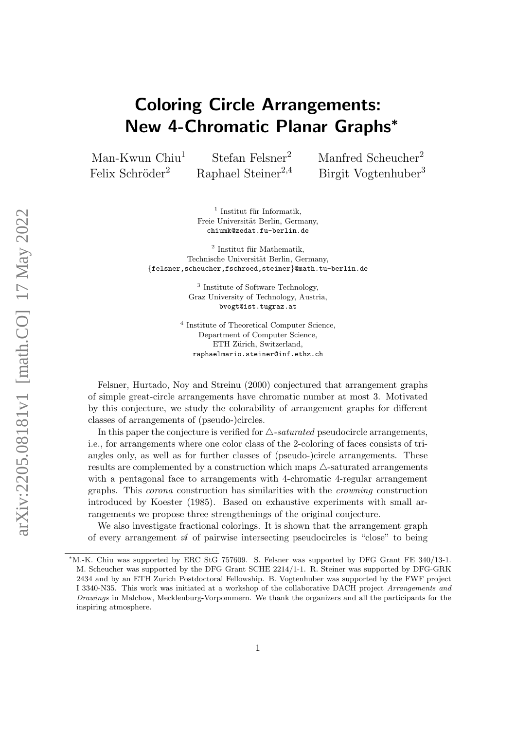# Coloring Circle Arrangements: New 4-Chromatic Planar Graphs<sup>∗</sup>

Man-Kwun Chiu<sup>1</sup> Stefan Felsner<sup>2</sup> Manfred Scheucher<sup>2</sup> Felix Schröder<sup>2</sup> Raphael Steiner<sup>2,4</sup> Birgit Vogtenhuber<sup>3</sup>

> $<sup>1</sup>$  Institut für Informatik,</sup> Freie Universität Berlin, Germany, chiumk@zedat.fu-berlin.de

 $2$  Institut für Mathematik, Technische Universität Berlin, Germany, {felsner,scheucher,fschroed,steiner}@math.tu-berlin.de

> <sup>3</sup> Institute of Software Technology, Graz University of Technology, Austria, bvogt@ist.tugraz.at

4 Institute of Theoretical Computer Science, Department of Computer Science, ETH Zürich, Switzerland, raphaelmario.steiner@inf.ethz.ch

Felsner, Hurtado, Noy and Streinu (2000) conjectured that arrangement graphs of simple great-circle arrangements have chromatic number at most 3. Motivated by this conjecture, we study the colorability of arrangement graphs for different classes of arrangements of (pseudo-)circles.

In this paper the conjecture is verified for  $\triangle$ -saturated pseudocircle arrangements. i.e., for arrangements where one color class of the 2-coloring of faces consists of triangles only, as well as for further classes of (pseudo-)circle arrangements. These results are complemented by a construction which maps  $\triangle$ -saturated arrangements with a pentagonal face to arrangements with 4-chromatic 4-regular arrangement graphs. This corona construction has similarities with the crowning construction introduced by Koester (1985). Based on exhaustive experiments with small arrangements we propose three strengthenings of the original conjecture.

We also investigate fractional colorings. It is shown that the arrangement graph of every arrangement  $\mathcal A$  of pairwise intersecting pseudocircles is "close" to being

<sup>∗</sup>M.-K. Chiu was supported by ERC StG 757609. S. Felsner was supported by DFG Grant FE 340/13-1. M. Scheucher was supported by the DFG Grant SCHE 2214/1-1. R. Steiner was supported by DFG-GRK 2434 and by an ETH Zurich Postdoctoral Fellowship. B. Vogtenhuber was supported by the FWF project I 3340-N35. This work was initiated at a workshop of the collaborative DACH project Arrangements and Drawings in Malchow, Mecklenburg-Vorpommern. We thank the organizers and all the participants for the inspiring atmosphere.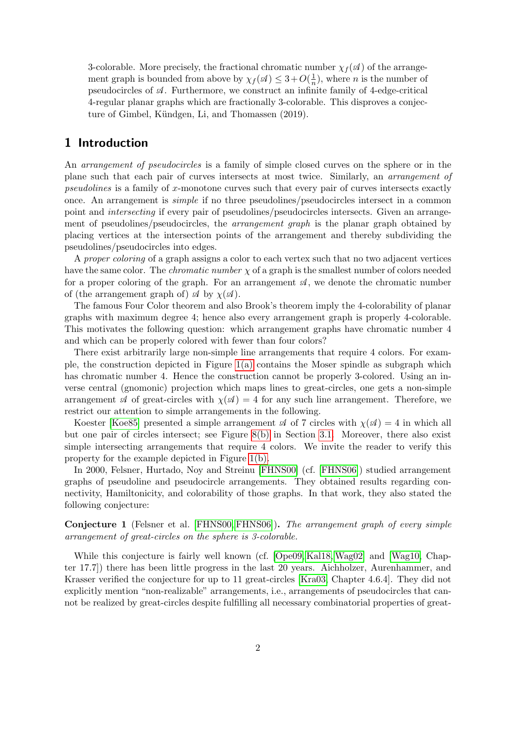3-colorable. More precisely, the fractional chromatic number  $\chi_f(\mathscr{A})$  of the arrangement graph is bounded from above by  $\chi_f(\mathcal{A}) \leq 3 + O(\frac{1}{n})$  $\frac{1}{n}$ ), where *n* is the number of pseudocircles of  $\mathcal A$ . Furthermore, we construct an infinite family of 4-edge-critical 4-regular planar graphs which are fractionally 3-colorable. This disproves a conjecture of Gimbel, Kündgen, Li, and Thomassen (2019).

# 1 Introduction

An arrangement of pseudocircles is a family of simple closed curves on the sphere or in the plane such that each pair of curves intersects at most twice. Similarly, an arrangement of pseudolines is a family of x-monotone curves such that every pair of curves intersects exactly once. An arrangement is simple if no three pseudolines/pseudocircles intersect in a common point and *intersecting* if every pair of pseudolines/pseudocircles intersects. Given an arrangement of pseudolines/pseudocircles, the *arrangement graph* is the planar graph obtained by placing vertices at the intersection points of the arrangement and thereby subdividing the pseudolines/pseudocircles into edges.

A proper coloring of a graph assigns a color to each vertex such that no two adjacent vertices have the same color. The *chromatic number*  $\chi$  of a graph is the smallest number of colors needed for a proper coloring of the graph. For an arrangement  $\mathcal{A}$ , we denote the chromatic number of (the arrangement graph of)  $\mathcal A$  by  $\chi(\mathcal A)$ .

The famous Four Color theorem and also Brook's theorem imply the 4-colorability of planar graphs with maximum degree 4; hence also every arrangement graph is properly 4-colorable. This motivates the following question: which arrangement graphs have chromatic number 4 and which can be properly colored with fewer than four colors?

There exist arbitrarily large non-simple line arrangements that require 4 colors. For example, the construction depicted in Figure [1\(a\)](#page-2-0) contains the Moser spindle as subgraph which has chromatic number 4. Hence the construction cannot be properly 3-colored. Using an inverse central (gnomonic) projection which maps lines to great-circles, one gets a non-simple arrangement  $\mathscr A$  of great-circles with  $\chi(\mathscr A)=4$  for any such line arrangement. Therefore, we restrict our attention to simple arrangements in the following.

Koester [\[Koe85\]](#page-20-0) presented a simple arrangement  $\mathscr A$  of 7 circles with  $\chi(\mathscr A)=4$  in which all but one pair of circles intersect; see Figure [8\(b\)](#page-8-0) in Section [3.1.](#page-7-0) Moreover, there also exist simple intersecting arrangements that require 4 colors. We invite the reader to verify this property for the example depicted in Figure [1\(b\).](#page-2-0)

In 2000, Felsner, Hurtado, Noy and Streinu [\[FHNS00\]](#page-19-0) (cf. [\[FHNS06\]](#page-19-1)) studied arrangement graphs of pseudoline and pseudocircle arrangements. They obtained results regarding connectivity, Hamiltonicity, and colorability of those graphs. In that work, they also stated the following conjecture:

<span id="page-1-0"></span>Conjecture 1 (Felsner et al. [\[FHNS00,](#page-19-0) [FHNS06\]](#page-19-1)). The arrangement graph of every simple arrangement of great-circles on the sphere is 3-colorable.

While this conjecture is fairly well known (cf. [\[Ope09,](#page-20-1) [Kal18,](#page-19-2) [Wag02\]](#page-20-2) and [\[Wag10,](#page-20-3) Chapter 17.7]) there has been little progress in the last 20 years. Aichholzer, Aurenhammer, and Krasser verified the conjecture for up to 11 great-circles [\[Kra03,](#page-20-4) Chapter 4.6.4]. They did not explicitly mention "non-realizable" arrangements, i.e., arrangements of pseudocircles that cannot be realized by great-circles despite fulfilling all necessary combinatorial properties of great-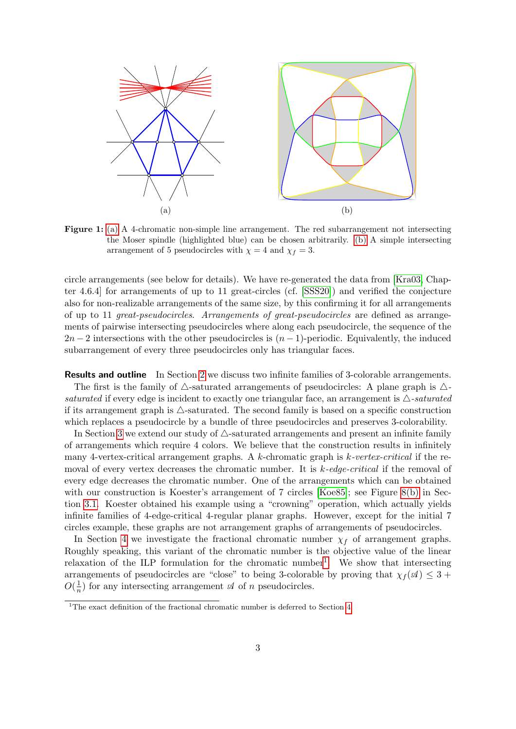<span id="page-2-0"></span>

Figure 1: [\(a\)](#page-2-0) A 4-chromatic non-simple line arrangement. The red subarrangement not intersecting the Moser spindle (highlighted blue) can be chosen arbitrarily. [\(b\)](#page-2-0) A simple intersecting arrangement of 5 pseudocircles with  $\chi = 4$  and  $\chi_f = 3$ .

circle arrangements (see below for details). We have re-generated the data from [\[Kra03,](#page-20-4) Chapter 4.6.4] for arrangements of up to 11 great-circles (cf. [\[SSS20\]](#page-20-5)) and verified the conjecture also for non-realizable arrangements of the same size, by this confirming it for all arrangements of up to 11 great-pseudocircles. Arrangements of great-pseudocircles are defined as arrangements of pairwise intersecting pseudocircles where along each pseudocircle, the sequence of the  $2n-2$  intersections with the other pseudocircles is  $(n-1)$ -periodic. Equivalently, the induced subarrangement of every three pseudocircles only has triangular faces.

Results and outline In Section [2](#page-3-0) we discuss two infinite families of 3-colorable arrangements. The first is the family of  $\triangle$ -saturated arrangements of pseudocircles: A plane graph is  $\triangle$ saturated if every edge is incident to exactly one triangular face, an arrangement is  $\triangle$ -saturated if its arrangement graph is  $\triangle$ -saturated. The second family is based on a specific construction which replaces a pseudocircle by a bundle of three pseudocircles and preserves 3-colorability.

In Section [3](#page-7-1) we extend our study of  $\triangle$ -saturated arrangements and present an infinite family of arrangements which require 4 colors. We believe that the construction results in infinitely many 4-vertex-critical arrangement graphs. A k-chromatic graph is  $k$ -vertex-critical if the removal of every vertex decreases the chromatic number. It is  $k$ -edge-critical if the removal of every edge decreases the chromatic number. One of the arrangements which can be obtained with our construction is Koester's arrangement of 7 circles [\[Koe85\]](#page-20-0); see Figure [8\(b\)](#page-8-0) in Section [3.1.](#page-7-0) Koester obtained his example using a "crowning" operation, which actually yields infinite families of 4-edge-critical 4-regular planar graphs. However, except for the initial 7 circles example, these graphs are not arrangement graphs of arrangements of pseudocircles.

In Section [4](#page-13-0) we investigate the fractional chromatic number  $\chi_f$  of arrangement graphs. Roughly speaking, this variant of the chromatic number is the objective value of the linear relaxation of the ILP formulation for the chromatic number<sup>[1](#page-2-1)</sup>. We show that intersecting arrangements of pseudocircles are "close" to being 3-colorable by proving that  $\chi_f(\mathcal{A}) \leq 3 +$  $O(\frac{1}{n})$  $\frac{1}{n}$ ) for any intersecting arrangement  $\mathscr A$  of *n* pseudocircles.

<span id="page-2-1"></span><sup>&</sup>lt;sup>1</sup>The exact definition of the fractional chromatic number is deferred to Section  $4$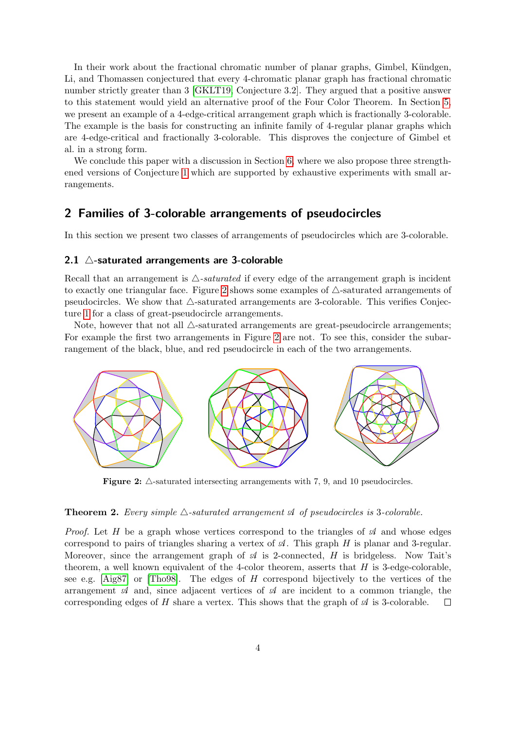In their work about the fractional chromatic number of planar graphs, Gimbel, Kündgen, Li, and Thomassen conjectured that every 4-chromatic planar graph has fractional chromatic number strictly greater than 3 [\[GKLT19,](#page-19-3) Conjecture 3.2]. They argued that a positive answer to this statement would yield an alternative proof of the Four Color Theorem. In Section [5,](#page-17-0) we present an example of a 4-edge-critical arrangement graph which is fractionally 3-colorable. The example is the basis for constructing an infinite family of 4-regular planar graphs which are 4-edge-critical and fractionally 3-colorable. This disproves the conjecture of Gimbel et al. in a strong form.

We conclude this paper with a discussion in Section [6,](#page-19-4) where we also propose three strengthened versions of Conjecture [1](#page-1-0) which are supported by exhaustive experiments with small arrangements.

## <span id="page-3-0"></span>2 Families of 3-colorable arrangements of pseudocircles

In this section we present two classes of arrangements of pseudocircles which are 3-colorable.

### <span id="page-3-3"></span>2.1  $\triangle$ -saturated arrangements are 3-colorable

Recall that an arrangement is  $\triangle$ -saturated if every edge of the arrangement graph is incident to exactly one triangular face. Figure [2](#page-3-1) shows some examples of  $\triangle$ -saturated arrangements of pseudocircles. We show that  $\triangle$ -saturated arrangements are 3-colorable. This verifies Conjecture [1](#page-1-0) for a class of great-pseudocircle arrangements.

Note, however that not all  $\triangle$ -saturated arrangements are great-pseudocircle arrangements; For example the first two arrangements in Figure [2](#page-3-1) are not. To see this, consider the subarrangement of the black, blue, and red pseudocircle in each of the two arrangements.

<span id="page-3-1"></span>

Figure 2:  $\triangle$ -saturated intersecting arrangements with 7, 9, and 10 pseudocircles.

#### <span id="page-3-2"></span>**Theorem 2.** Every simple  $\triangle$ -saturated arrangement  $\mathcal A$  of pseudocircles is 3-colorable.

*Proof.* Let H be a graph whose vertices correspond to the triangles of  $\mathcal A$  and whose edges correspond to pairs of triangles sharing a vertex of  $\mathcal A$ . This graph H is planar and 3-regular. Moreover, since the arrangement graph of  $\mathcal A$  is 2-connected, H is bridgeless. Now Tait's theorem, a well known equivalent of the 4-color theorem, asserts that  $H$  is 3-edge-colorable, see e.g.  $[Aig87]$  or [\[Tho98\]](#page-20-6). The edges of H correspond bijectively to the vertices of the arrangement  $\mathcal A$  and, since adjacent vertices of  $\mathcal A$  are incident to a common triangle, the corresponding edges of H share a vertex. This shows that the graph of  $\mathcal A$  is 3-colorable.  $\Box$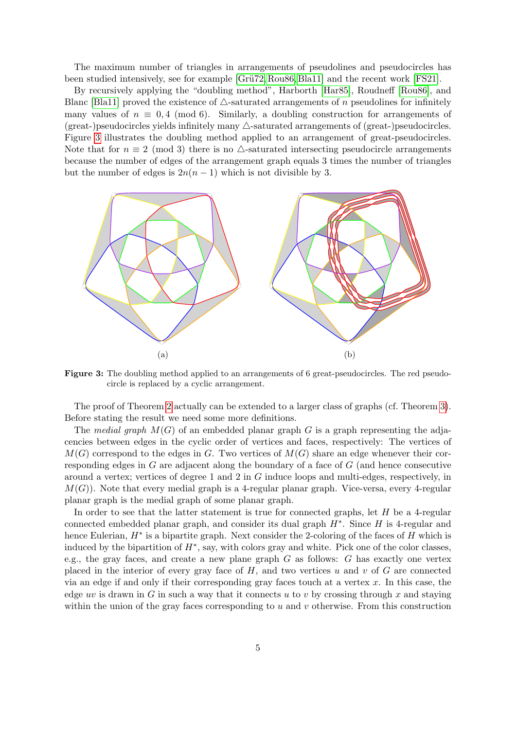The maximum number of triangles in arrangements of pseudolines and pseudocircles has been studied intensively, see for example [Grü72, [Rou86,](#page-20-7) [Bla11\]](#page-19-7) and the recent work [\[FS21\]](#page-19-8).

By recursively applying the "doubling method", Harborth [\[Har85\]](#page-19-9), Roudneff [\[Rou86\]](#page-20-7), and Blanc [\[Bla11\]](#page-19-7) proved the existence of  $\triangle$ -saturated arrangements of n pseudolines for infinitely many values of  $n \equiv 0, 4 \pmod{6}$ . Similarly, a doubling construction for arrangements of  $(\text{great-)pseudocircles yields infinitely many }\triangle\text{-saturated arrangements of (great-)pseudocircles.}$ Figure [3](#page-4-0) illustrates the doubling method applied to an arrangement of great-pseudocircles. Note that for  $n \equiv 2 \pmod{3}$  there is no  $\triangle$ -saturated intersecting pseudocircle arrangements because the number of edges of the arrangement graph equals 3 times the number of triangles but the number of edges is  $2n(n-1)$  which is not divisible by 3.

<span id="page-4-0"></span>

Figure 3: The doubling method applied to an arrangements of 6 great-pseudocircles. The red pseudocircle is replaced by a cyclic arrangement.

The proof of Theorem [2](#page-3-2) actually can be extended to a larger class of graphs (cf. Theorem [3\)](#page-5-0). Before stating the result we need some more definitions.

The medial graph  $M(G)$  of an embedded planar graph G is a graph representing the adjacencies between edges in the cyclic order of vertices and faces, respectively: The vertices of  $M(G)$  correspond to the edges in G. Two vertices of  $M(G)$  share an edge whenever their corresponding edges in G are adjacent along the boundary of a face of G (and hence consecutive around a vertex; vertices of degree 1 and 2 in G induce loops and multi-edges, respectively, in  $M(G)$ ). Note that every medial graph is a 4-regular planar graph. Vice-versa, every 4-regular planar graph is the medial graph of some planar graph.

In order to see that the latter statement is true for connected graphs, let  $H$  be a 4-regular connected embedded planar graph, and consider its dual graph  $H^*$ . Since  $H$  is 4-regular and hence Eulerian,  $H^*$  is a bipartite graph. Next consider the 2-coloring of the faces of  $H$  which is induced by the bipartition of  $H^*$ , say, with colors gray and white. Pick one of the color classes, e.g., the gray faces, and create a new plane graph  $G$  as follows:  $G$  has exactly one vertex placed in the interior of every gray face of  $H$ , and two vertices u and v of  $G$  are connected via an edge if and only if their corresponding gray faces touch at a vertex  $x$ . In this case, the edge uv is drawn in G in such a way that it connects u to v by crossing through x and staying within the union of the gray faces corresponding to  $u$  and  $v$  otherwise. From this construction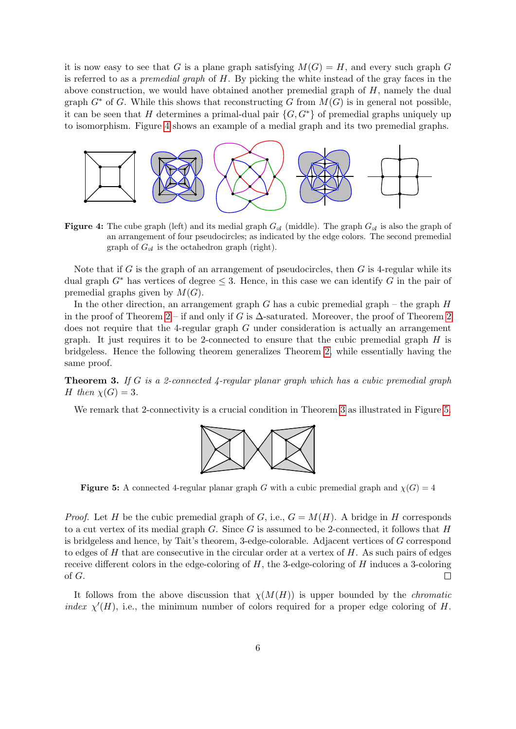it is now easy to see that G is a plane graph satisfying  $M(G) = H$ , and every such graph G is referred to as a *premedial graph* of  $H$ . By picking the white instead of the gray faces in the above construction, we would have obtained another premedial graph of  $H$ , namely the dual graph  $G^*$  of G. While this shows that reconstructing G from  $M(G)$  is in general not possible, it can be seen that H determines a primal-dual pair  $\{G, G^*\}$  of premedial graphs uniquely up to isomorphism. Figure [4](#page-5-1) shows an example of a medial graph and its two premedial graphs.

<span id="page-5-1"></span>

**Figure 4:** The cube graph (left) and its medial graph  $G_{\mathcal{A}}$  (middle). The graph  $G_{\mathcal{A}}$  is also the graph of an arrangement of four pseudocircles; as indicated by the edge colors. The second premedial graph of  $G_{\mathcal{A}}$  is the octahedron graph (right).

Note that if G is the graph of an arrangement of pseudocircles, then  $G$  is 4-regular while its dual graph  $G^*$  has vertices of degree  $\leq$  3. Hence, in this case we can identify G in the pair of premedial graphs given by  $M(G)$ .

In the other direction, an arrangement graph  $G$  has a cubic premedial graph – the graph  $H$ in the proof of Theorem [2](#page-3-2) – if and only if G is  $\Delta$ -saturated. Moreover, the proof of Theorem 2 does not require that the 4-regular graph G under consideration is actually an arrangement graph. It just requires it to be 2-connected to ensure that the cubic premedial graph  $H$  is bridgeless. Hence the following theorem generalizes Theorem [2,](#page-3-2) while essentially having the same proof.

<span id="page-5-0"></span>**Theorem 3.** If G is a 2-connected 4-regular planar graph which has a cubic premedial graph H then  $\chi(G) = 3$ .

<span id="page-5-2"></span>We remark that 2-connectivity is a crucial condition in Theorem [3](#page-5-0) as illustrated in Figure [5.](#page-5-2)



**Figure 5:** A connected 4-regular planar graph G with a cubic premedial graph and  $\chi(G) = 4$ 

*Proof.* Let H be the cubic premedial graph of G, i.e.,  $G = M(H)$ . A bridge in H corresponds to a cut vertex of its medial graph G. Since G is assumed to be 2-connected, it follows that  $H$ is bridgeless and hence, by Tait's theorem, 3-edge-colorable. Adjacent vertices of G correspond to edges of  $H$  that are consecutive in the circular order at a vertex of  $H$ . As such pairs of edges receive different colors in the edge-coloring of  $H$ , the 3-edge-coloring of  $H$  induces a 3-coloring of G.  $\Box$ 

It follows from the above discussion that  $\chi(M(H))$  is upper bounded by the *chromatic* index  $\chi'(H)$ , i.e., the minimum number of colors required for a proper edge coloring of H.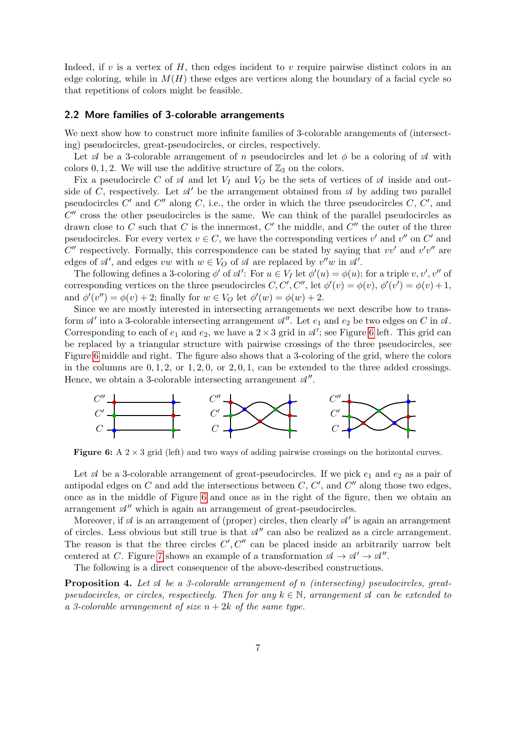Indeed, if  $v$  is a vertex of  $H$ , then edges incident to  $v$  require pairwise distinct colors in an edge coloring, while in  $M(H)$  these edges are vertices along the boundary of a facial cycle so that repetitions of colors might be feasible.

#### 2.2 More families of 3-colorable arrangements

We next show how to construct more infinite families of 3-colorable arangements of (intersecting) pseudocircles, great-pseudocircles, or circles, respectively.

Let  $\mathcal A$  be a 3-colorable arrangement of n pseudocircles and let  $\phi$  be a coloring of  $\mathcal A$  with colors 0, 1, 2. We will use the additive structure of  $\mathbb{Z}_3$  on the colors.

Fix a pseudocircle C of  $\mathcal A$  and let  $V_I$  and  $V_O$  be the sets of vertices of  $\mathcal A$  inside and outside of C, respectively. Let  $\mathcal{A}'$  be the arrangement obtained from  $\mathcal{A}$  by adding two parallel pseudocircles  $C'$  and  $C''$  along  $C$ , i.e., the order in which the three pseudocircles  $C, C'$ , and  $C''$  cross the other pseudocircles is the same. We can think of the parallel pseudocircles as drawn close to C such that C is the innermost, C' the middle, and C'' the outer of the three pseudocircles. For every vertex  $v \in C$ , we have the corresponding vertices  $v'$  and  $v''$  on  $C'$  and  $C''$  respectively. Formally, this correspondence can be stated by saying that  $vv'$  and  $v'v''$  are edges of  $\mathcal{A}'$ , and edges vw with  $w \in V_O$  of  $\mathcal A$  are replaced by  $v''w$  in  $\mathcal{A}'$ .

The following defines a 3-coloring  $\phi'$  of  $\mathscr{A}'$ : For  $u \in V_I$  let  $\phi'(u) = \phi(u)$ ; for a triple  $v, v', v''$  of corresponding vertices on the three pseudocircles  $C, C', C'',$  let  $\phi'(v) = \phi(v), \phi'(v') = \phi(v) + 1$ , and  $\phi'(v'') = \phi(v) + 2$ ; finally for  $w \in V_O$  let  $\phi'(w) = \phi(w) + 2$ .

Since we are mostly interested in intersecting arrangements we next describe how to transform  $\mathcal{A}'$  into a 3-colorable intersecting arrangement  $\mathcal{A}''$ . Let  $e_1$  and  $e_2$  be two edges on C in  $\mathcal{A}$ . Corresponding to each of  $e_1$  and  $e_2$ , we have a  $2 \times 3$  grid in  $\mathcal{A}'$ ; see Figure [6](#page-6-0) left. This grid can be replaced by a triangular structure with pairwise crossings of the three pseudocircles, see Figure [6](#page-6-0) middle and right. The figure also shows that a 3-coloring of the grid, where the colors in the columns are  $0, 1, 2, 0$ , or  $1, 2, 0, 1$ , can be extended to the three added crossings. Hence, we obtain a 3-colorable intersecting arrangement  $\mathcal{A}''$ .

<span id="page-6-0"></span>

**Figure 6:** A  $2 \times 3$  grid (left) and two ways of adding pairwise crossings on the horizontal curves.

Let  $\mathcal A$  be a 3-colorable arrangement of great-pseudocircles. If we pick  $e_1$  and  $e_2$  as a pair of antipodal edges on  $C$  and add the intersections between  $C, C',$  and  $C''$  along those two edges, once as in the middle of Figure [6](#page-6-0) and once as in the right of the figure, then we obtain an arrangement  $\mathcal{A}^{\prime\prime}$  which is again an arrangement of great-pseudocircles.

Moreover, if  $\mathscr A$  is an arrangement of (proper) circles, then clearly  $\mathscr A'$  is again an arrangement of circles. Less obvious but still true is that  $\mathcal{A}^{\prime\prime}$  can also be realized as a circle arrangement. The reason is that the three circles  $C', C''$  can be placed inside an arbitrarily narrow belt centered at C. Figure [7](#page-7-2) shows an example of a transformation  $\mathcal{A} \to \mathcal{A}' \to \mathcal{A}''$ .

The following is a direct consequence of the above-described constructions.

**Proposition 4.** Let  $\mathcal{A}$  be a 3-colorable arrangement of n (intersecting) pseudocircles, greatpseudocircles, or circles, respectively. Then for any  $k \in \mathbb{N}$ , arrangement  $\mathcal{A}$  can be extended to a 3-colorable arrangement of size  $n + 2k$  of the same type.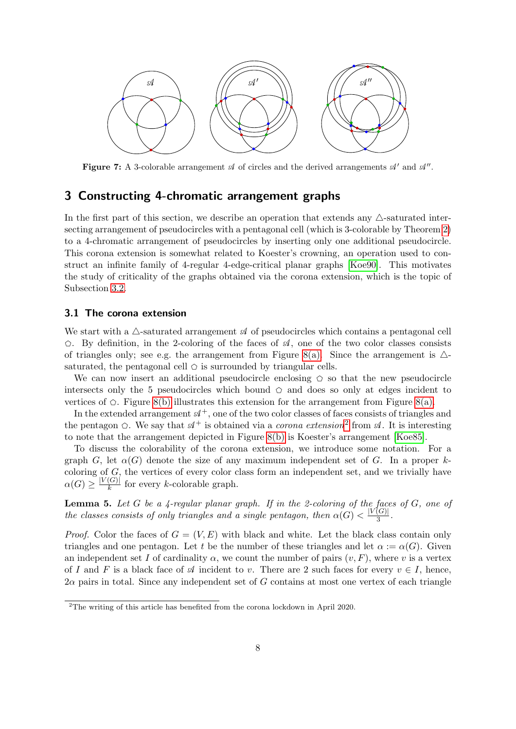<span id="page-7-2"></span>

Figure 7: A 3-colorable arrangement  $\mathcal A$  of circles and the derived arrangements  $\mathcal A'$  and  $\mathcal A''$ .

## <span id="page-7-1"></span>3 Constructing 4-chromatic arrangement graphs

In the first part of this section, we describe an operation that extends any  $\triangle$ -saturated intersecting arrangement of pseudocircles with a pentagonal cell (which is 3-colorable by Theorem [2\)](#page-3-2) to a 4-chromatic arrangement of pseudocircles by inserting only one additional pseudocircle. This corona extension is somewhat related to Koester's crowning, an operation used to construct an infinite family of 4-regular 4-edge-critical planar graphs [\[Koe90\]](#page-20-8). This motivates the study of criticality of the graphs obtained via the corona extension, which is the topic of Subsection [3.2.](#page-9-0)

#### <span id="page-7-0"></span>3.1 The corona extension

We start with a  $\triangle$ -saturated arrangement A of pseudocircles which contains a pentagonal cell  $\circ$ . By definition, in the 2-coloring of the faces of  $\mathcal{A}$ , one of the two color classes consists of triangles only; see e.g. the arrangement from Figure [8\(a\).](#page-8-0) Since the arrangement is  $\triangle$ saturated, the pentagonal cell  $\circlearrowright$  is surrounded by triangular cells.

We can now insert an additional pseudocircle enclosing  $\circ$  so that the new pseudocircle intersects only the 5 pseudocircles which bound  $\circ$  and does so only at edges incident to vertices of  $\circ$ . Figure [8\(b\)](#page-8-0) illustrates this extension for the arrangement from Figure [8\(a\).](#page-8-0)

In the extended arrangement  $\mathcal{A}^+$ , one of the two color classes of faces consists of triangles and the pentagon  $\odot$ . We say that  $\mathcal{A}^+$  is obtained via a *corona extension*<sup>[2](#page-7-3)</sup> from  $\mathcal{A}$ . It is interesting to note that the arrangement depicted in Figure [8\(b\)](#page-8-0) is Koester's arrangement [\[Koe85\]](#page-20-0).

To discuss the colorability of the corona extension, we introduce some notation. For a graph G, let  $\alpha(G)$  denote the size of any maximum independent set of G. In a proper kcoloring of  $G$ , the vertices of every color class form an independent set, and we trivially have  $\alpha(G) \geq \frac{|V(G)|}{k}$  $\frac{(G)}{k}$  for every k-colorable graph.

<span id="page-7-4"></span>**Lemma 5.** Let G be a  $\ddot{A}$ -regular planar graph. If in the 2-coloring of the faces of G, one of the classes consists of only triangles and a single pentagon, then  $\alpha(G) < \frac{|V(G)|}{3}$  $rac{(\mathbf{G})|}{3}$ .

*Proof.* Color the faces of  $G = (V, E)$  with black and white. Let the black class contain only triangles and one pentagon. Let t be the number of these triangles and let  $\alpha := \alpha(G)$ . Given an independent set I of cardinality  $\alpha$ , we count the number of pairs  $(v, F)$ , where v is a vertex of I and F is a black face of  $\mathcal A$  incident to v. There are 2 such faces for every  $v \in I$ , hence,  $2\alpha$  pairs in total. Since any independent set of G contains at most one vertex of each triangle

<span id="page-7-3"></span><sup>2</sup>The writing of this article has benefited from the corona lockdown in April 2020.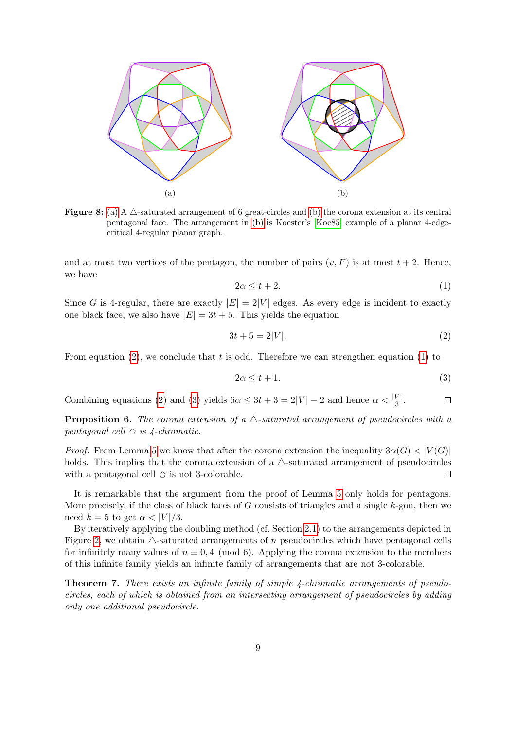<span id="page-8-0"></span>

Figure 8: [\(a\)](#page-8-0) A  $\triangle$ -saturated arrangement of 6 great-circles and [\(b\)](#page-8-0) the corona extension at its central pentagonal face. The arrangement in [\(b\)](#page-8-0) is Koester's [\[Koe85\]](#page-20-0) example of a planar 4-edgecritical 4-regular planar graph.

and at most two vertices of the pentagon, the number of pairs  $(v, F)$  is at most  $t + 2$ . Hence, we have

<span id="page-8-2"></span>
$$
2\alpha \le t + 2. \tag{1}
$$

Since G is 4-regular, there are exactly  $|E| = 2|V|$  edges. As every edge is incident to exactly one black face, we also have  $|E| = 3t + 5$ . This yields the equation

<span id="page-8-1"></span>
$$
3t + 5 = 2|V|.\t\t(2)
$$

From equation [\(2\)](#page-8-1), we conclude that t is odd. Therefore we can strengthen equation [\(1\)](#page-8-2) to

<span id="page-8-3"></span>
$$
2\alpha \le t + 1. \tag{3}
$$

Combining equations [\(2\)](#page-8-1) and [\(3\)](#page-8-3) yields  $6\alpha \leq 3t + 3 = 2|V| - 2$  and hence  $\alpha < \frac{|V|}{3}$ .  $\Box$ 

**Proposition 6.** The corona extension of a  $\triangle$ -saturated arrangement of pseudocircles with a pentagonal cell  $\Diamond$  is 4-chromatic.

*Proof.* From Lemma [5](#page-7-4) we know that after the corona extension the inequality  $3\alpha(G) < |V(G)|$ holds. This implies that the corona extension of a  $\triangle$ -saturated arrangement of pseudocircles with a pentagonal cell  $\circlearrowright$  is not 3-colorable.  $\Box$ 

It is remarkable that the argument from the proof of Lemma [5](#page-7-4) only holds for pentagons. More precisely, if the class of black faces of  $G$  consists of triangles and a single  $k$ -gon, then we need  $k = 5$  to get  $\alpha < |V|/3$ .

By iteratively applying the doubling method (cf. Section [2.1\)](#page-3-3) to the arrangements depicted in Figure [2,](#page-3-1) we obtain  $\triangle$ -saturated arrangements of n pseudocircles which have pentagonal cells for infinitely many values of  $n \equiv 0, 4 \pmod{6}$ . Applying the corona extension to the members of this infinite family yields an infinite family of arrangements that are not 3-colorable.

<span id="page-8-4"></span>Theorem 7. There exists an infinite family of simple 4-chromatic arrangements of pseudocircles, each of which is obtained from an intersecting arrangement of pseudocircles by adding only one additional pseudocircle.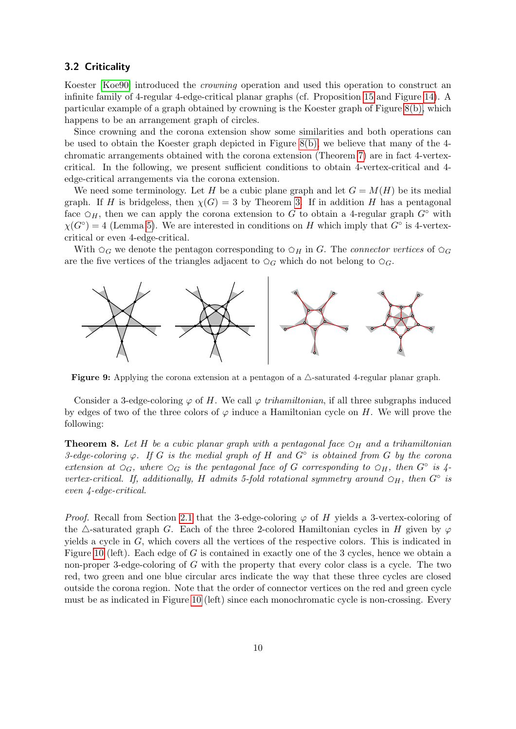## <span id="page-9-0"></span>3.2 Criticality

Koester [\[Koe90\]](#page-20-8) introduced the crowning operation and used this operation to construct an infinite family of 4-regular 4-edge-critical planar graphs (cf. Proposition [15](#page-18-0) and Figure [14\)](#page-18-1). A particular example of a graph obtained by crowning is the Koester graph of Figure [8\(b\),](#page-8-0) which happens to be an arrangement graph of circles.

Since crowning and the corona extension show some similarities and both operations can be used to obtain the Koester graph depicted in Figure [8\(b\),](#page-8-0) we believe that many of the 4 chromatic arrangements obtained with the corona extension (Theorem [7\)](#page-8-4) are in fact 4-vertexcritical. In the following, we present sufficient conditions to obtain 4-vertex-critical and 4 edge-critical arrangements via the corona extension.

We need some terminology. Let H be a cubic plane graph and let  $G = M(H)$  be its medial graph. If H is bridgeless, then  $\chi(G) = 3$  by Theorem [3.](#page-5-0) If in addition H has a pentagonal face  $\varphi_H$ , then we can apply the corona extension to G to obtain a 4-regular graph  $G^\circ$  with  $\chi(G^{\circ}) = 4$  (Lemma [5\)](#page-7-4). We are interested in conditions on H which imply that  $G^{\circ}$  is 4-vertexcritical or even 4-edge-critical.

With  $\Omega_G$  we denote the pentagon corresponding to  $\Omega_H$  in G. The *connector vertices* of  $\Omega_G$ are the five vertices of the triangles adjacent to  $\circlearrowright_G$  which do not belong to  $\circlearrowright_G$ .



Figure 9: Applying the corona extension at a pentagon of a  $\triangle$ -saturated 4-regular planar graph.

Consider a 3-edge-coloring  $\varphi$  of H. We call  $\varphi$  trihamiltonian, if all three subgraphs induced by edges of two of the three colors of  $\varphi$  induce a Hamiltonian cycle on H. We will prove the following:

<span id="page-9-1"></span>**Theorem 8.** Let H be a cubic planar graph with a pentagonal face  $\varphi_H$  and a trihamiltonian 3-edge-coloring  $\varphi$ . If G is the medial graph of H and  $G^{\circ}$  is obtained from G by the corona extension at  $\varphi_G$ , where  $\varphi_G$  is the pentagonal face of G corresponding to  $\varphi_H$ , then  $G^\circ$  is 4vertex-critical. If, additionally, H admits 5-fold rotational symmetry around  $\varphi_H$ , then  $G^\circ$  is even 4-edge-critical.

*Proof.* Recall from Section [2.1](#page-3-3) that the 3-edge-coloring  $\varphi$  of H yields a 3-vertex-coloring of the  $\triangle$ -saturated graph G. Each of the three 2-colored Hamiltonian cycles in H given by  $\varphi$ yields a cycle in G, which covers all the vertices of the respective colors. This is indicated in Figure [10](#page-10-0) (left). Each edge of  $G$  is contained in exactly one of the 3 cycles, hence we obtain a non-proper 3-edge-coloring of G with the property that every color class is a cycle. The two red, two green and one blue circular arcs indicate the way that these three cycles are closed outside the corona region. Note that the order of connector vertices on the red and green cycle must be as indicated in Figure [10](#page-10-0) (left) since each monochromatic cycle is non-crossing. Every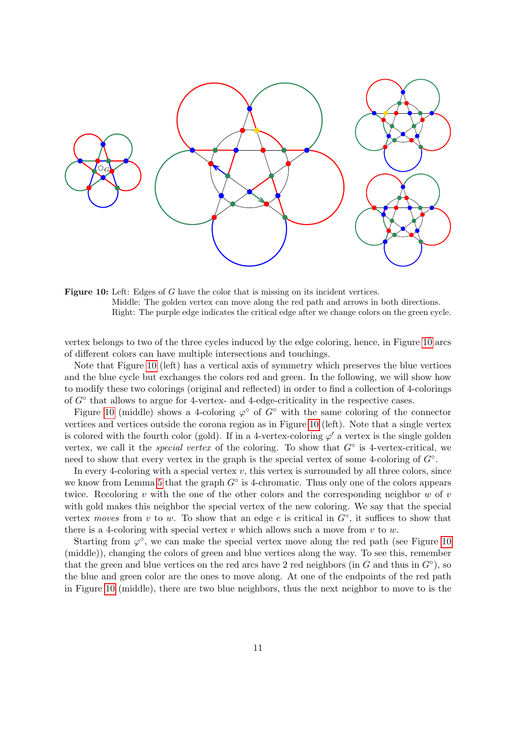<span id="page-10-0"></span>

Figure 10: Left: Edges of G have the color that is missing on its incident vertices. Middle: The golden vertex can move along the red path and arrows in both directions. Right: The purple edge indicates the critical edge after we change colors on the green cycle.

vertex belongs to two of the three cycles induced by the edge coloring, hence, in Figure [10](#page-10-0) arcs of different colors can have multiple intersections and touchings.

Note that Figure [10](#page-10-0) (left) has a vertical axis of symmetry which preserves the blue vertices and the blue cycle but exchanges the colors red and green. In the following, we will show how to modify these two colorings (original and reflected) in order to find a collection of 4-colorings of  $G^{\circ}$  that allows to argue for 4-vertex- and 4-edge-criticality in the respective cases.

Figure [10](#page-10-0) (middle) shows a 4-coloring  $\varphi^{\circ}$  of  $G^{\circ}$  with the same coloring of the connector vertices and vertices outside the corona region as in Figure [10](#page-10-0) (left). Note that a single vertex is colored with the fourth color (gold). If in a 4-vertex-coloring  $\varphi'$  a vertex is the single golden vertex, we call it the *special vertex* of the coloring. To show that  $G^{\circ}$  is 4-vertex-critical, we need to show that every vertex in the graph is the special vertex of some 4-coloring of  $G<sup>°</sup>$ .

In every 4-coloring with a special vertex  $v$ , this vertex is surrounded by all three colors, since we know from Lemma [5](#page-7-4) that the graph  $G^{\circ}$  is 4-chromatic. Thus only one of the colors appears twice. Recoloring v with the one of the other colors and the corresponding neighbor  $w$  of  $v$ with gold makes this neighbor the special vertex of the new coloring. We say that the special vertex moves from v to w. To show that an edge e is critical in  $G^{\circ}$ , it suffices to show that there is a 4-coloring with special vertex v which allows such a move from v to w.

Starting from  $\varphi^{\circ}$ , we can make the special vertex move along the red path (see Figure [10](#page-10-0)) (middle)), changing the colors of green and blue vertices along the way. To see this, remember that the green and blue vertices on the red arcs have 2 red neighbors (in  $G$  and thus in  $G^{\circ}$ ), so the blue and green color are the ones to move along. At one of the endpoints of the red path in Figure [10](#page-10-0) (middle), there are two blue neighbors, thus the next neighbor to move to is the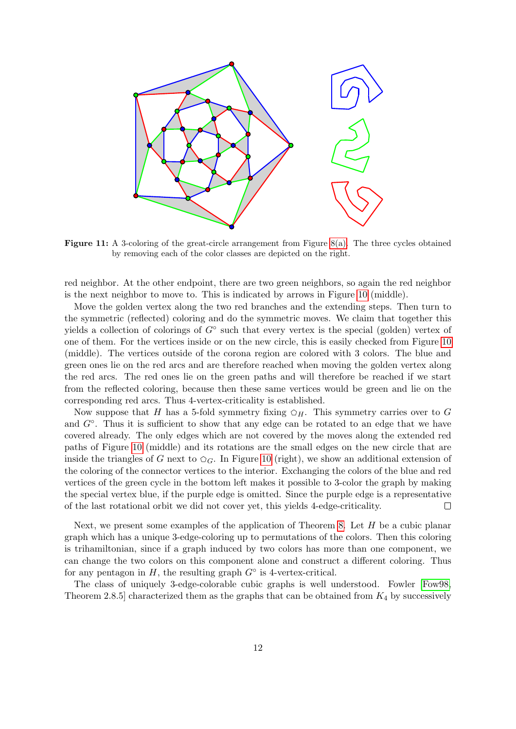<span id="page-11-0"></span>

**Figure 11:** A 3-coloring of the great-circle arrangement from Figure  $8(a)$ . The three cycles obtained by removing each of the color classes are depicted on the right.

red neighbor. At the other endpoint, there are two green neighbors, so again the red neighbor is the next neighbor to move to. This is indicated by arrows in Figure [10](#page-10-0) (middle).

Move the golden vertex along the two red branches and the extending steps. Then turn to the symmetric (reflected) coloring and do the symmetric moves. We claim that together this yields a collection of colorings of  $G^{\circ}$  such that every vertex is the special (golden) vertex of one of them. For the vertices inside or on the new circle, this is easily checked from Figure [10](#page-10-0) (middle). The vertices outside of the corona region are colored with 3 colors. The blue and green ones lie on the red arcs and are therefore reached when moving the golden vertex along the red arcs. The red ones lie on the green paths and will therefore be reached if we start from the reflected coloring, because then these same vertices would be green and lie on the corresponding red arcs. Thus 4-vertex-criticality is established.

Now suppose that H has a 5-fold symmetry fixing  $\varphi_H$ . This symmetry carries over to G and  $G<sup>°</sup>$ . Thus it is sufficient to show that any edge can be rotated to an edge that we have covered already. The only edges which are not covered by the moves along the extended red paths of Figure [10](#page-10-0) (middle) and its rotations are the small edges on the new circle that are inside the triangles of G next to  $\varphi_G$ . In Figure [10](#page-10-0) (right), we show an additional extension of the coloring of the connector vertices to the interior. Exchanging the colors of the blue and red vertices of the green cycle in the bottom left makes it possible to 3-color the graph by making the special vertex blue, if the purple edge is omitted. Since the purple edge is a representative of the last rotational orbit we did not cover yet, this yields 4-edge-criticality.  $\Box$ 

Next, we present some examples of the application of Theorem [8.](#page-9-1) Let  $H$  be a cubic planar graph which has a unique 3-edge-coloring up to permutations of the colors. Then this coloring is trihamiltonian, since if a graph induced by two colors has more than one component, we can change the two colors on this component alone and construct a different coloring. Thus for any pentagon in  $H$ , the resulting graph  $G^{\circ}$  is 4-vertex-critical.

The class of uniquely 3-edge-colorable cubic graphs is well understood. Fowler [\[Fow98,](#page-19-10) Theorem 2.8.5 characterized them as the graphs that can be obtained from  $K_4$  by successively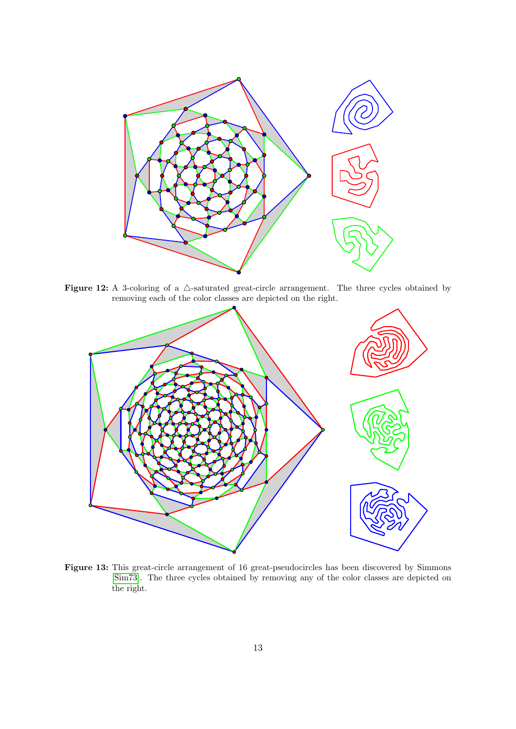<span id="page-12-0"></span>

Figure 12: A 3-coloring of a  $\triangle$ -saturated great-circle arrangement. The three cycles obtained by removing each of the color classes are depicted on the right.



Figure 13: This great-circle arrangement of 16 great-pseudocircles has been discovered by Simmons [\[Sim73\]](#page-20-9). The three cycles obtained by removing any of the color classes are depicted on the right.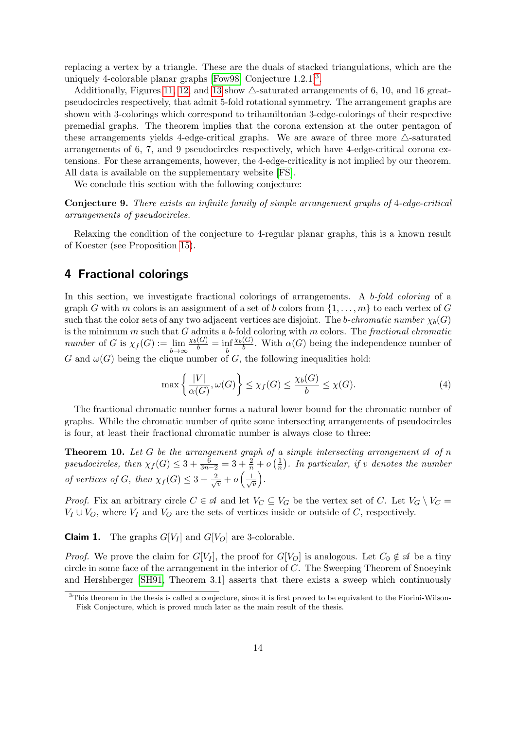replacing a vertex by a triangle. These are the duals of stacked triangulations, which are the uniquely 4-colorable planar graphs [\[Fow98,](#page-19-10) Conjecture  $1.2.1$ ]<sup>[3](#page-13-1)</sup>.

Additionally, Figures [11,](#page-11-0) [12,](#page-12-0) and [13](#page-12-0) show  $\triangle$ -saturated arrangements of 6, 10, and 16 greatpseudocircles respectively, that admit 5-fold rotational symmetry. The arrangement graphs are shown with 3-colorings which correspond to trihamiltonian 3-edge-colorings of their respective premedial graphs. The theorem implies that the corona extension at the outer pentagon of these arrangements yields 4-edge-critical graphs. We are aware of three more  $\triangle$ -saturated arrangements of 6, 7, and 9 pseudocircles respectively, which have 4-edge-critical corona extensions. For these arrangements, however, the 4-edge-criticality is not implied by our theorem. All data is available on the supplementary website [\[FS\]](#page-19-11).

We conclude this section with the following conjecture:

Conjecture 9. There exists an infinite family of simple arrangement graphs of 4-edge-critical arrangements of pseudocircles.

Relaxing the condition of the conjecture to 4-regular planar graphs, this is a known result of Koester (see Proposition [15\)](#page-18-0).

## <span id="page-13-0"></span>4 Fractional colorings

In this section, we investigate fractional colorings of arrangements. A b-fold coloring of a graph G with m colors is an assignment of a set of b colors from  $\{1, \ldots, m\}$  to each vertex of G such that the color sets of any two adjacent vertices are disjoint. The b-chromatic number  $\chi_h(G)$ is the minimum  $m$  such that  $G$  admits a b-fold coloring with  $m$  colors. The fractional chromatic *number* of G is  $\chi_f(G) := \lim_{b \to \infty}$  $\frac{\chi_b(G)}{b} = \inf_b$  $\chi_b(G)$  $\frac{(\mathbf{G})}{b}$ . With  $\alpha(G)$  being the independence number of G and  $\omega(G)$  being the clique number of G, the following inequalities hold:

$$
\max\left\{\frac{|V|}{\alpha(G)}, \omega(G)\right\} \le \chi_f(G) \le \frac{\chi_b(G)}{b} \le \chi(G). \tag{4}
$$

The fractional chromatic number forms a natural lower bound for the chromatic number of graphs. While the chromatic number of quite some intersecting arrangements of pseudocircles is four, at least their fractional chromatic number is always close to three:

<span id="page-13-2"></span>**Theorem 10.** Let G be the arrangement graph of a simple intersecting arrangement  $\mathcal A$  of n pseudocircles, then  $\chi_f(G) \leq 3 + \frac{6}{3n-2} = 3 + \frac{2}{n} + o\left(\frac{1}{n}\right)$  $\frac{1}{n}$ ). In particular, if v denotes the number of vertices of G, then  $\chi_f(G) \leq 3 + \frac{2}{\sqrt{2}}$  $\frac{b}{\overline{v}}+o\left(\frac{1}{\sqrt{2}}\right)$  $\overline{v}$ .

*Proof.* Fix an arbitrary circle  $C \in \mathcal{A}$  and let  $V_C \subseteq V_G$  be the vertex set of C. Let  $V_G \setminus V_C =$  $V_I \cup V_O$ , where  $V_I$  and  $V_O$  are the sets of vertices inside or outside of C, respectively.

**Claim 1.** The graphs  $G[V_I]$  and  $G[V_O]$  are 3-colorable.

*Proof.* We prove the claim for  $G[V_I]$ , the proof for  $G[V_O]$  is analogous. Let  $C_0 \notin \mathcal{A}$  be a tiny circle in some face of the arrangement in the interior of  $C$ . The Sweeping Theorem of Snoeyink and Hershberger [\[SH91,](#page-20-10) Theorem 3.1] asserts that there exists a sweep which continuously

<span id="page-13-1"></span><sup>&</sup>lt;sup>3</sup>This theorem in the thesis is called a conjecture, since it is first proved to be equivalent to the Fiorini-Wilson-Fisk Conjecture, which is proved much later as the main result of the thesis.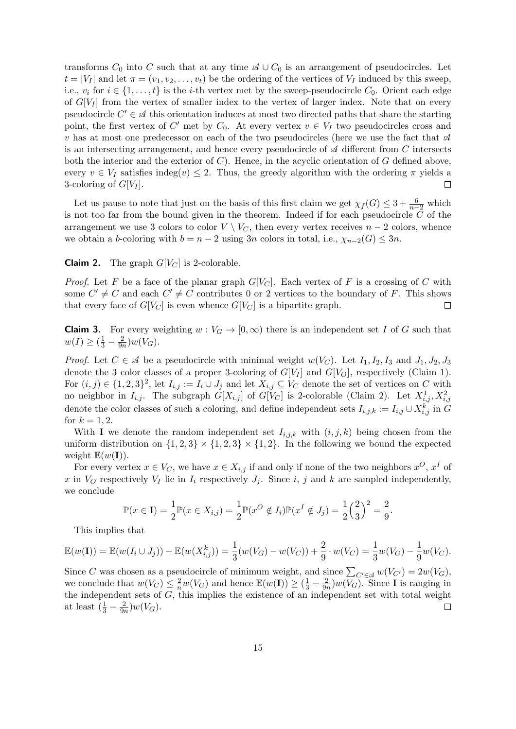transforms  $C_0$  into C such that at any time  $\mathcal{A} \cup C_0$  is an arrangement of pseudocircles. Let  $t = |V_I|$  and let  $\pi = (v_1, v_2, \dots, v_t)$  be the ordering of the vertices of  $V_I$  induced by this sweep, i.e.,  $v_i$  for  $i \in \{1, \ldots, t\}$  is the *i*-th vertex met by the sweep-pseudocircle  $C_0$ . Orient each edge of  $G[V_I]$  from the vertex of smaller index to the vertex of larger index. Note that on every pseudocircle  $C' \in \mathcal{A}$  this orientation induces at most two directed paths that share the starting point, the first vertex of C' met by  $C_0$ . At every vertex  $v \in V_I$  two pseudocircles cross and v has at most one predecessor on each of the two pseudocircles (here we use the fact that  $\mathscr A$ is an intersecting arrangement, and hence every pseudocircle of  $\mathcal A$  different from C intersects both the interior and the exterior of  $C$ ). Hence, in the acyclic orientation of  $G$  defined above, every  $v \in V_I$  satisfies indeg(v)  $\leq 2$ . Thus, the greedy algorithm with the ordering  $\pi$  yields a 3-coloring of  $G[V_I]$ .  $\Box$ 

Let us pause to note that just on the basis of this first claim we get  $\chi_f(G) \leq 3 + \frac{6}{n-2}$  which is not too far from the bound given in the theorem. Indeed if for each pseudocircle  $C$  of the arrangement we use 3 colors to color  $V \setminus V_C$ , then every vertex receives  $n-2$  colors, whence we obtain a b-coloring with  $b = n - 2$  using 3n colors in total, i.e.,  $\chi_{n-2}(G) \leq 3n$ .

**Claim 2.** The graph  $G[V_C]$  is 2-colorable.

*Proof.* Let F be a face of the planar graph  $G[V_C]$ . Each vertex of F is a crossing of C with some  $C' \neq C$  and each  $C' \neq C$  contributes 0 or 2 vertices to the boundary of F. This shows that every face of  $G[V_C]$  is even whence  $G[V_C]$  is a bipartite graph.  $\Box$ 

**Claim 3.** For every weighting  $w : V_G \to [0, \infty)$  there is an independent set I of G such that  $w(I) \ge (\frac{1}{3} - \frac{2}{9n})$  $\frac{2}{9n}\big)w(V_G)$ .

*Proof.* Let  $C \in \mathcal{A}$  be a pseudocircle with minimal weight  $w(V_C)$ . Let  $I_1, I_2, I_3$  and  $J_1, J_2, J_3$ denote the 3 color classes of a proper 3-coloring of  $G[V_I]$  and  $G[V_O]$ , respectively (Claim 1). For  $(i, j) \in \{1, 2, 3\}^2$ , let  $I_{i,j} := I_i \cup J_j$  and let  $X_{i,j} \subseteq V_C$  denote the set of vertices on C with no neighbor in  $I_{i,j}$ . The subgraph  $G[X_{i,j}]$  of  $G[V_C]$  is 2-colorable (Claim 2). Let  $X_{i,j}^1, X_{i,j}^2$ denote the color classes of such a coloring, and define independent sets  $I_{i,j,k} := I_{i,j} \cup X_{i,j}^k$  in G for  $k = 1, 2$ .

With I we denote the random independent set  $I_{i,j,k}$  with  $(i, j, k)$  being chosen from the uniform distribution on  $\{1,2,3\} \times \{1,2,3\} \times \{1,2\}$ . In the following we bound the expected weight  $\mathbb{E}(w(I)).$ 

For every vertex  $x \in V_C$ , we have  $x \in X_{i,j}$  if and only if none of the two neighbors  $x^O, x^I$  of x in  $V_O$  respectively  $V_I$  lie in  $I_i$  respectively  $J_i$ . Since i, j and k are sampled independently, we conclude

$$
\mathbb{P}(x \in \mathbf{I}) = \frac{1}{2} \mathbb{P}(x \in X_{i,j}) = \frac{1}{2} \mathbb{P}(x^{O} \notin I_{i}) \mathbb{P}(x^{I} \notin J_{j}) = \frac{1}{2} \left(\frac{2}{3}\right)^{2} = \frac{2}{9}.
$$

This implies that

$$
\mathbb{E}(w(\mathbf{I})) = \mathbb{E}(w(I_i \cup J_j)) + \mathbb{E}(w(X_{i,j}^k)) = \frac{1}{3}(w(V_G) - w(V_C)) + \frac{2}{9} \cdot w(V_C) = \frac{1}{3}w(V_G) - \frac{1}{9}w(V_C).
$$

Since C was chosen as a pseudocircle of minimum weight, and since  $\sum_{C' \in \mathcal{A}} w(V_{C'}) = 2w(V_G)$ , we conclude that  $w(V_C) \leq \frac{2}{n}w(V_G)$  and hence  $\mathbb{E}(w(I)) \geq (\frac{1}{3} - \frac{2}{9n})$  $\frac{2}{9n}$ )w( $V_G$ ). Since **I** is ranging in the independent sets of  $G$ , this implies the existence of an independent set with total weight at least  $(\frac{1}{3} - \frac{2}{9n})$  $\frac{2}{9n}\big)w(V_G)$ .  $\Box$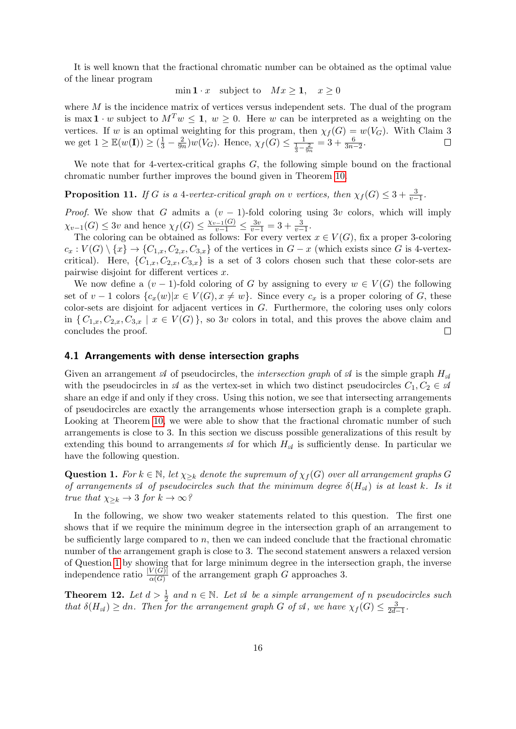It is well known that the fractional chromatic number can be obtained as the optimal value of the linear program

$$
\min \mathbf{1} \cdot x \quad \text{subject to} \quad Mx \ge \mathbf{1}, \quad x \ge 0
$$

where  $M$  is the incidence matrix of vertices versus independent sets. The dual of the program is max  $1 \cdot w$  subject to  $M^T w \le 1$ ,  $w \ge 0$ . Here w can be interpreted as a weighting on the vertices. If w is an optimal weighting for this program, then  $\chi_f(G) = w(V_G)$ . With Claim 3 we get  $1 \geq \mathbb{E}(w(\mathbf{I})) \geq (\frac{1}{3} - \frac{2}{9n})$  $\frac{2}{9n}$ )w(V<sub>G</sub>). Hence,  $\chi_f(G) \leq \frac{1}{\frac{1}{3} - \frac{2}{9n}} = 3 + \frac{6}{3n-2}$ .

We note that for 4-vertex-critical graphs  $G$ , the following simple bound on the fractional chromatic number further improves the bound given in Theorem [10.](#page-13-2)

**Proposition 11.** If G is a 4-vertex-critical graph on v vertices, then  $\chi_f(G) \leq 3 + \frac{3}{v-1}$ .

*Proof.* We show that G admits a  $(v - 1)$ -fold coloring using 3v colors, which will imply  $\chi_{v-1}(G) \leq 3v$  and hence  $\chi_f(G) \leq \frac{\chi_{v-1}(G)}{v-1} \leq \frac{3v}{v-1} = 3 + \frac{3}{v-1}$ .

The coloring can be obtained as follows: For every vertex  $x \in V(G)$ , fix a proper 3-coloring  $c_x : V(G) \setminus \{x\} \to \{C_{1,x}, C_{2,x}, C_{3,x}\}\$ of the vertices in  $G - x$  (which exists since G is 4-vertexcritical). Here,  $\{C_{1,x}, C_{2,x}, C_{3,x}\}\$ is a set of 3 colors chosen such that these color-sets are pairwise disjoint for different vertices  $x$ .

We now define a  $(v-1)$ -fold coloring of G by assigning to every  $w \in V(G)$  the following set of  $v - 1$  colors  $\{c_x(w)|x \in V(G), x \neq w\}$ . Since every  $c_x$  is a proper coloring of G, these color-sets are disjoint for adjacent vertices in G. Furthermore, the coloring uses only colors in  $\{C_{1,x}, C_{2,x}, C_{3,x} \mid x \in V(G)\}\$ , so 3v colors in total, and this proves the above claim and concludes the proof.  $\Box$ 

#### 4.1 Arrangements with dense intersection graphs

Given an arrangement  $\mathcal A$  of pseudocircles, the *intersection graph* of  $\mathcal A$  is the simple graph  $H_{\mathcal A}$ with the pseudocircles in  $\mathcal A$  as the vertex-set in which two distinct pseudocircles  $C_1, C_2 \in \mathcal A$ share an edge if and only if they cross. Using this notion, we see that intersecting arrangements of pseudocircles are exactly the arrangements whose intersection graph is a complete graph. Looking at Theorem [10,](#page-13-2) we were able to show that the fractional chromatic number of such arrangements is close to 3. In this section we discuss possible generalizations of this result by extending this bound to arrangements  $\mathcal A$  for which  $H_{\mathcal A}$  is sufficiently dense. In particular we have the following question.

<span id="page-15-0"></span>**Question 1.** For  $k \in \mathbb{N}$ , let  $\chi_{\geq k}$  denote the supremum of  $\chi_f(G)$  over all arrangement graphs G of arrangements  $\mathcal A$  of pseudocircles such that the minimum degree  $\delta(H_{\mathcal A})$  is at least k. Is it true that  $\chi_{\geq k} \to 3$  for  $k \to \infty$ ?

In the following, we show two weaker statements related to this question. The first one shows that if we require the minimum degree in the intersection graph of an arrangement to be sufficiently large compared to  $n$ , then we can indeed conclude that the fractional chromatic number of the arrangement graph is close to 3. The second statement answers a relaxed version of Question [1](#page-15-0) by showing that for large minimum degree in the intersection graph, the inverse independence ratio  $\frac{|V(G)|}{\alpha(G)}$  of the arrangement graph G approaches 3.

<span id="page-15-1"></span>**Theorem 12.** Let  $d > \frac{1}{2}$  and  $n \in \mathbb{N}$ . Let  $\mathcal{A}$  be a simple arrangement of n pseudocircles such that  $\delta(H_{\mathscr{A}}) \geq dn$ . Then for the arrangement graph G of  $\mathscr{A}$ , we have  $\chi_f(G) \leq \frac{3}{2d-1}$ .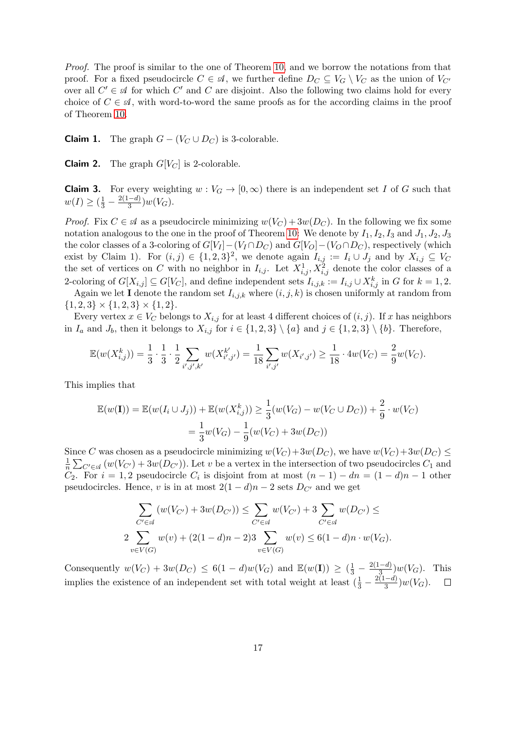Proof. The proof is similar to the one of Theorem [10,](#page-13-2) and we borrow the notations from that proof. For a fixed pseudocircle  $C \in \mathcal{A}$ , we further define  $D_C \subseteq V_G \setminus V_C$  as the union of  $V_{C'}$ over all  $C' \in \mathcal{A}$  for which  $C'$  and  $C$  are disjoint. Also the following two claims hold for every choice of  $C \in \mathcal{A}$ , with word-to-word the same proofs as for the according claims in the proof of Theorem [10.](#page-13-2)

**Claim 1.** The graph  $G - (V_C \cup D_C)$  is 3-colorable.

**Claim 2.** The graph  $G[V_C]$  is 2-colorable.

**Claim 3.** For every weighting  $w : V_G \to [0, \infty)$  there is an independent set I of G such that  $w(I) \geq (\frac{1}{3} - \frac{2(1-d)}{3})$  $\frac{(-a)}{3}$ ) $w(V_G)$ .

*Proof.* Fix  $C \in \mathcal{A}$  as a pseudocircle minimizing  $w(V_C) + 3w(D_C)$ . In the following we fix some notation analogous to the one in the proof of Theorem [10:](#page-13-2) We denote by  $I_1, I_2, I_3$  and  $J_1, J_2, J_3$ the color classes of a 3-coloring of  $G[V_I] - (V_I \cap D_C)$  and  $G[V_O] - (V_O \cap D_C)$ , respectively (which exist by Claim 1). For  $(i, j) \in \{1, 2, 3\}^2$ , we denote again  $I_{i,j} := I_i \cup J_j$  and by  $X_{i,j} \subseteq V_C$ the set of vertices on C with no neighbor in  $I_{i,j}$ . Let  $X_{i,j}^1, X_{i,j}^2$  denote the color classes of a 2-coloring of  $G[X_{i,j}] \subseteq G[V_C]$ , and define independent sets  $I_{i,j,k} := I_{i,j} \cup X_{i,j}^k$  in G for  $k = 1,2$ .

Again we let **I** denote the random set  $I_{i,j,k}$  where  $(i, j, k)$  is chosen uniformly at random from  ${1, 2, 3} \times {1, 2, 3} \times {1, 2}.$ 

Every vertex  $x \in V_C$  belongs to  $X_{i,j}$  for at least 4 different choices of  $(i, j)$ . If x has neighbors in  $I_a$  and  $J_b$ , then it belongs to  $X_{i,j}$  for  $i \in \{1,2,3\} \setminus \{a\}$  and  $j \in \{1,2,3\} \setminus \{b\}$ . Therefore,

$$
\mathbb{E}(w(X_{i,j}^k)) = \frac{1}{3} \cdot \frac{1}{3} \cdot \frac{1}{2} \sum_{i',j',k'} w(X_{i',j'}^{k'}) = \frac{1}{18} \sum_{i',j'} w(X_{i',j'}) \ge \frac{1}{18} \cdot 4w(V_C) = \frac{2}{9}w(V_C).
$$

This implies that

$$
\mathbb{E}(w(\mathbf{I})) = \mathbb{E}(w(I_i \cup J_j)) + \mathbb{E}(w(X_{i,j}^k)) \ge \frac{1}{3}(w(V_G) - w(V_C \cup D_C)) + \frac{2}{9} \cdot w(V_C)
$$

$$
= \frac{1}{3}w(V_G) - \frac{1}{9}(w(V_C) + 3w(D_C))
$$

Since C was chosen as a pseudocircle minimizing  $w(V_C)+3w(D_C)$ , we have  $w(V_C)+3w(D_C) \leq$ 1  $\frac{1}{n}\sum_{C'\in\mathscr{A}}(w(V_{C'})+3w(D_{C'}))$ . Let v be a vertex in the intersection of two pseudocircles  $C_1$  and  $C_2$ . For  $i = 1, 2$  pseudocircle  $C_i$  is disjoint from at most  $(n - 1) - dn = (1 - d)n - 1$  other pseudocircles. Hence, v is in at most  $2(1-d)n - 2$  sets  $D_{C'}$  and we get

$$
\sum_{C' \in \mathcal{A}} (w(V_{C'}) + 3w(D_{C'})) \le \sum_{C' \in \mathcal{A}} w(V_{C'}) + 3 \sum_{C' \in \mathcal{A}} w(D_{C'}) \le
$$
  
2 
$$
\sum_{v \in V(G)} w(v) + (2(1-d)n - 2)3 \sum_{v \in V(G)} w(v) \le 6(1-d)n \cdot w(V_G).
$$

Consequently  $w(V_C) + 3w(D_C) \leq 6(1-d)w(V_G)$  and  $\mathbb{E}(w(I)) \geq (\frac{1}{3} - \frac{2(1-d)}{3})$  $\frac{(-a)}{3}$   $\big) w(V_G)$ . This implies the existence of an independent set with total weight at least  $(\frac{1}{3} - \frac{2(1-d)}{3})$  $\frac{(-a)}{3}$ ) $w(V_G)$ .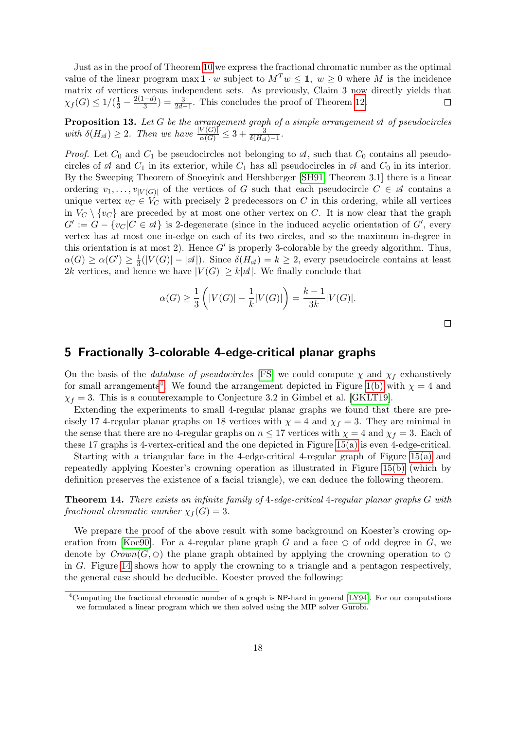Just as in the proof of Theorem [10](#page-13-2) we express the fractional chromatic number as the optimal value of the linear program max  $1 \cdot w$  subject to  $M^T w \le 1$ ,  $w \ge 0$  where M is the incidence matrix of vertices versus independent sets. As previously, Claim 3 now directly yields that  $\chi_f(G) \leq 1/(\frac{1}{3} - \frac{2(1-d)}{3})$  $\frac{(-d)}{3}$  =  $\frac{3}{2d-1}$ . This concludes the proof of Theorem [12.](#page-15-1)  $\Box$ 

**Proposition 13.** Let G be the arrangement graph of a simple arrangement  $\mathcal A$  of pseudocircles with  $\delta(H_{\mathscr{A}}) \geq 2$ . Then we have  $\frac{|V(G)|}{\alpha(G)} \leq 3 + \frac{3}{\delta(H_{\mathscr{A}})-1}$ .

*Proof.* Let  $C_0$  and  $C_1$  be pseudocircles not belonging to  $\mathcal{A}$ , such that  $C_0$  contains all pseudocircles of  $\mathcal A$  and  $C_1$  in its exterior, while  $C_1$  has all pseudocircles in  $\mathcal A$  and  $C_0$  in its interior. By the Sweeping Theorem of Snoeyink and Hershberger [\[SH91,](#page-20-10) Theorem 3.1] there is a linear ordering  $v_1, \ldots, v_{|V(G)|}$  of the vertices of G such that each pseudocircle  $C \in \mathcal{A}$  contains a unique vertex  $v_C \in V_C$  with precisely 2 predecessors on C in this ordering, while all vertices in  $V_C \setminus \{v_C\}$  are preceded by at most one other vertex on C. It is now clear that the graph  $G' := G - \{v_C | C \in \mathcal{A}\}\$ is 2-degenerate (since in the induced acyclic orientation of  $G'$ , every vertex has at most one in-edge on each of its two circles, and so the maximum in-degree in this orientation is at most 2). Hence  $G'$  is properly 3-colorable by the greedy algorithm. Thus,  $\alpha(G) \geq \alpha(G') \geq \frac{1}{3}$  $\frac{1}{3}(|V(G)| - |\mathcal{A}|)$ . Since  $\delta(H_{\mathcal{A}}) = k \geq 2$ , every pseudocircle contains at least 2k vertices, and hence we have  $|V(G)| \geq k |\mathcal{A}|$ . We finally conclude that

$$
\alpha(G) \ge \frac{1}{3} \left( |V(G)| - \frac{1}{k}|V(G)| \right) = \frac{k-1}{3k} |V(G)|.
$$

 $\Box$ 

## <span id="page-17-0"></span>5 Fractionally 3-colorable 4-edge-critical planar graphs

On the basis of the *database of pseudocircles* [\[FS\]](#page-19-11) we could compute  $\chi$  and  $\chi_f$  exhaustively for small arrangements<sup>[4](#page-17-1)</sup>. We found the arrangement depicted in Figure [1\(b\)](#page-2-0) with  $\chi = 4$  and  $\chi_f = 3$ . This is a counterexample to Conjecture 3.2 in Gimbel et al. [\[GKLT19\]](#page-19-3).

Extending the experiments to small 4-regular planar graphs we found that there are precisely 17 4-regular planar graphs on 18 vertices with  $\chi = 4$  and  $\chi_f = 3$ . They are minimal in the sense that there are no 4-regular graphs on  $n \leq 17$  vertices with  $\chi = 4$  and  $\chi_f = 3$ . Each of these 17 graphs is 4-vertex-critical and the one depicted in Figure [15\(a\)](#page-18-2) is even 4-edge-critical.

Starting with a triangular face in the 4-edge-critical 4-regular graph of Figure [15\(a\)](#page-18-2) and repeatedly applying Koester's crowning operation as illustrated in Figure [15\(b\)](#page-18-2) (which by definition preserves the existence of a facial triangle), we can deduce the following theorem.

<span id="page-17-2"></span>Theorem 14. There exists an infinite family of 4-edge-critical 4-regular planar graphs G with fractional chromatic number  $\chi_f(G) = 3$ .

We prepare the proof of the above result with some background on Koester's crowing op-eration from [\[Koe90\]](#page-20-8). For a 4-regular plane graph G and a face  $\circ$  of odd degree in G, we denote by  $Crown(G, \triangle)$  the plane graph obtained by applying the crowning operation to  $\triangle$ in G. Figure [14](#page-18-1) shows how to apply the crowning to a triangle and a pentagon respectively, the general case should be deducible. Koester proved the following:

<span id="page-17-1"></span><sup>4</sup>Computing the fractional chromatic number of a graph is NP-hard in general [\[LY94\]](#page-20-11). For our computations we formulated a linear program which we then solved using the MIP solver Gurobi.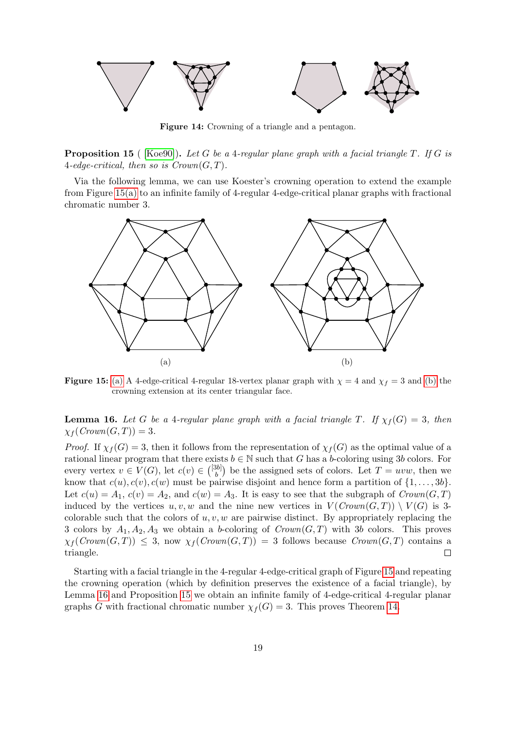<span id="page-18-1"></span>

Figure 14: Crowning of a triangle and a pentagon.

<span id="page-18-0"></span>**Proposition 15** (  $[Koe90]$ ). Let G be a 4-regular plane graph with a facial triangle T. If G is 4-edge-critical, then so is  $Crown(G, T)$ .

Via the following lemma, we can use Koester's crowning operation to extend the example from Figure [15\(a\)](#page-18-2) to an infinite family of 4-regular 4-edge-critical planar graphs with fractional chromatic number 3.

<span id="page-18-2"></span>

**Figure 15:** [\(a\)](#page-18-2) A 4-edge-critical 4-regular 18-vertex planar graph with  $\chi = 4$  and  $\chi_f = 3$  and [\(b\)](#page-18-2) the crowning extension at its center triangular face.

<span id="page-18-3"></span>**Lemma 16.** Let G be a 4-regular plane graph with a facial triangle T. If  $\chi_f(G) = 3$ , then  $\chi_f(\text{Crown}(G, T)) = 3.$ 

*Proof.* If  $\chi_f(G) = 3$ , then it follows from the representation of  $\chi_f(G)$  as the optimal value of a rational linear program that there exists  $b \in \mathbb{N}$  such that G has a b-coloring using 3b colors. For every vertex  $v \in V(G)$ , let  $c(v) \in {3b \brack b}$  $\binom{3b}{b}$  be the assigned sets of colors. Let  $T = uvw$ , then we know that  $c(u)$ ,  $c(v)$ ,  $c(w)$  must be pairwise disjoint and hence form a partition of  $\{1, \ldots, 3b\}$ . Let  $c(u) = A_1$ ,  $c(v) = A_2$ , and  $c(w) = A_3$ . It is easy to see that the subgraph of  $Crown(G, T)$ induced by the vertices u, v, w and the nine new vertices in  $V(Crown(G, T)) \setminus V(G)$  is 3colorable such that the colors of  $u, v, w$  are pairwise distinct. By appropriately replacing the 3 colors by  $A_1, A_2, A_3$  we obtain a b-coloring of  $Crown(G, T)$  with 3b colors. This proves  $\chi_f(Crown(G, T)) \leq 3$ , now  $\chi_f(Crown(G, T)) = 3$  follows because  $Crown(G, T)$  contains a triangle. П

Starting with a facial triangle in the 4-regular 4-edge-critical graph of Figure [15](#page-18-2) and repeating the crowning operation (which by definition preserves the existence of a facial triangle), by Lemma [16](#page-18-3) and Proposition [15](#page-18-0) we obtain an infinite family of 4-edge-critical 4-regular planar graphs G with fractional chromatic number  $\chi_f(G) = 3$ . This proves Theorem [14.](#page-17-2)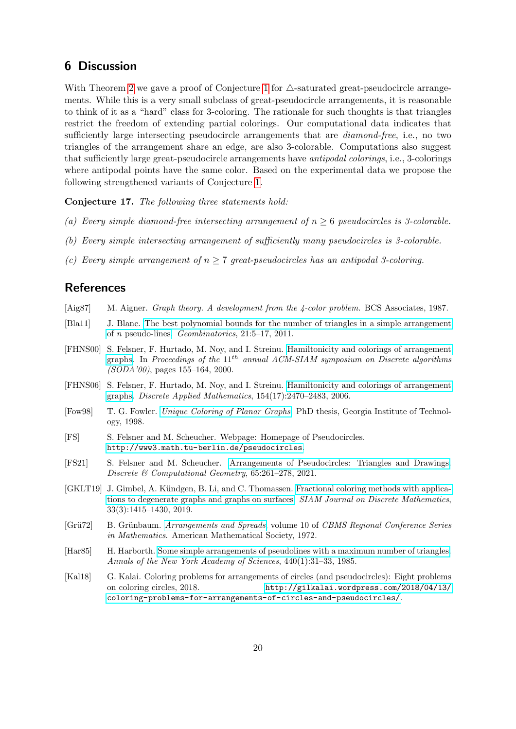# <span id="page-19-4"></span>6 Discussion

With Theorem [2](#page-3-2) we gave a proof of Conjecture [1](#page-1-0) for  $\triangle$ -saturated great-pseudocircle arrangements. While this is a very small subclass of great-pseudocircle arrangements, it is reasonable to think of it as a "hard" class for 3-coloring. The rationale for such thoughts is that triangles restrict the freedom of extending partial colorings. Our computational data indicates that sufficiently large intersecting pseudocircle arrangements that are *diamond-free*, i.e., no two triangles of the arrangement share an edge, are also 3-colorable. Computations also suggest that sufficiently large great-pseudocircle arrangements have antipodal colorings, i.e., 3-colorings where antipodal points have the same color. Based on the experimental data we propose the following strengthened variants of Conjecture [1.](#page-1-0)

Conjecture 17. The following three statements hold:

- (a) Every simple diamond-free intersecting arrangement of  $n > 6$  pseudocircles is 3-colorable.
- (b) Every simple intersecting arrangement of sufficiently many pseudocircles is 3-colorable.
- (c) Every simple arrangement of  $n > 7$  great-pseudocircles has an antipodal 3-coloring.

## References

- <span id="page-19-5"></span>[Aig87] M. Aigner. *Graph theory. A development from the 4-color problem.* BCS Associates, 1987.
- <span id="page-19-7"></span>[Bla11] J. Blanc. [The best polynomial bounds for the number of triangles in a simple arrangement](http://geombina.uccs.edu/?page_id=621) of n [pseudo-lines.](http://geombina.uccs.edu/?page_id=621) Geombinatorics, 21:5–17, 2011.
- <span id="page-19-0"></span>[FHNS00] S. Felsner, F. Hurtado, M. Noy, and I. Streinu. [Hamiltonicity and colorings of arrangement](http://dl.acm.org/doi/abs/10.5555/338219.338247) [graphs.](http://dl.acm.org/doi/abs/10.5555/338219.338247) In Proceedings of the 11<sup>th</sup> annual ACM-SIAM symposium on Discrete algorithms (SODA'00), pages 155–164, 2000.
- <span id="page-19-1"></span>[FHNS06] S. Felsner, F. Hurtado, M. Noy, and I. Streinu. [Hamiltonicity and colorings of arrangement](http://doi.org/10.1016/j.dam.2006.04.006) [graphs.](http://doi.org/10.1016/j.dam.2006.04.006) Discrete Applied Mathematics, 154(17):2470–2483, 2006.
- <span id="page-19-10"></span>[Fow98] T. G. Fowler. [Unique Coloring of Planar Graphs](http://people.math.gatech.edu/~thomas/FC/fowlerphd.pdf). PhD thesis, Georgia Institute of Technology, 1998.
- <span id="page-19-11"></span>[FS] S. Felsner and M. Scheucher. Webpage: Homepage of Pseudocircles. <http://www3.math.tu-berlin.de/pseudocircles>.
- <span id="page-19-8"></span>[FS21] S. Felsner and M. Scheucher. [Arrangements of Pseudocircles: Triangles and Drawings.](http://doi.org/10.1007/s00454-020-00173-4) Discrete & Computational Geometry, 65:261–278, 2021.
- <span id="page-19-3"></span>[GKLT19] J. Gimbel, A. Kündgen, B. Li, and C. Thomassen. [Fractional coloring methods with applica](http://doi.org/10.1137/18M1177317)[tions to degenerate graphs and graphs on surfaces.](http://doi.org/10.1137/18M1177317) SIAM Journal on Discrete Mathematics, 33(3):1415–1430, 2019.
- <span id="page-19-6"></span>[Grü72] B. Grünbaum. [Arrangements and Spreads](http://doi.org/10.1090/cbms/010), volume 10 of CBMS Regional Conference Series in Mathematics. American Mathematical Society, 1972.
- <span id="page-19-9"></span>[Har85] H. Harborth. [Some simple arrangements of pseudolines with a maximum number of triangles.](http://doi.org/10.1111/j.1749-6632.1985.tb14536.x) Annals of the New York Academy of Sciences, 440(1):31–33, 1985.
- <span id="page-19-2"></span>[Kal18] G. Kalai. Coloring problems for arrangements of circles (and pseudocircles): Eight problems on coloring circles, 2018. [http://gilkalai.wordpress.com/2018/04/13/](http://gilkalai.wordpress.com/2018/04/13/coloring-problems-for-arrangements-of-circles-and-pseudocircles/) [coloring-problems-for-arrangements-of-circles-and-pseudocircles/](http://gilkalai.wordpress.com/2018/04/13/coloring-problems-for-arrangements-of-circles-and-pseudocircles/).